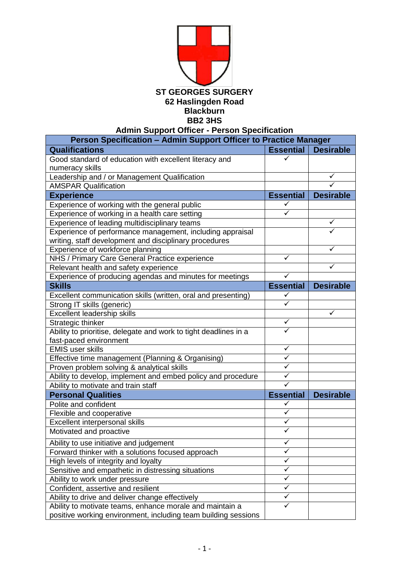

**Admin Support Officer - Person Specification**

| Person Specification - Admin Support Officer to Practice Manager |                  |                  |  |
|------------------------------------------------------------------|------------------|------------------|--|
| <b>Qualifications</b>                                            | <b>Essential</b> | <b>Desirable</b> |  |
| Good standard of education with excellent literacy and           | ✓                |                  |  |
| numeracy skills                                                  |                  |                  |  |
| Leadership and / or Management Qualification                     |                  |                  |  |
| <b>AMSPAR Qualification</b>                                      |                  |                  |  |
| <b>Experience</b>                                                | <b>Essential</b> | <b>Desirable</b> |  |
| Experience of working with the general public                    | ✓                |                  |  |
| Experience of working in a health care setting                   |                  |                  |  |
| Experience of leading multidisciplinary teams                    |                  | ✓                |  |
| Experience of performance management, including appraisal        |                  |                  |  |
| writing, staff development and disciplinary procedures           |                  |                  |  |
| Experience of workforce planning                                 |                  |                  |  |
| NHS / Primary Care General Practice experience                   | ✓                |                  |  |
| Relevant health and safety experience                            |                  |                  |  |
| Experience of producing agendas and minutes for meetings         | ✓                |                  |  |
| <b>Skills</b>                                                    | <b>Essential</b> | <b>Desirable</b> |  |
| Excellent communication skills (written, oral and presenting)    | ✓                |                  |  |
| Strong IT skills (generic)                                       | ✓                |                  |  |
| <b>Excellent leadership skills</b>                               |                  | ✓                |  |
| Strategic thinker                                                | ✓                |                  |  |
| Ability to prioritise, delegate and work to tight deadlines in a | ✓                |                  |  |
| fast-paced environment                                           |                  |                  |  |
| <b>EMIS user skills</b>                                          | ✓                |                  |  |
| Effective time management (Planning & Organising)                | $\checkmark$     |                  |  |
| Proven problem solving & analytical skills                       | ✓                |                  |  |
| Ability to develop, implement and embed policy and procedure     | $\checkmark$     |                  |  |
| Ability to motivate and train staff                              | $\checkmark$     |                  |  |
| <b>Personal Qualities</b>                                        | <b>Essential</b> | <b>Desirable</b> |  |
| Polite and confident                                             | ✓                |                  |  |
| Flexible and cooperative                                         | $\checkmark$     |                  |  |
| Excellent interpersonal skills                                   | ✓                |                  |  |
| Motivated and proactive                                          | ✓                |                  |  |
| Ability to use initiative and judgement                          |                  |                  |  |
| Forward thinker with a solutions focused approach                | ✓                |                  |  |
| High levels of integrity and loyalty                             | ✓                |                  |  |
| Sensitive and empathetic in distressing situations               | ✓                |                  |  |
| Ability to work under pressure                                   | $\checkmark$     |                  |  |
| Confident, assertive and resilient                               | ✓                |                  |  |
| Ability to drive and deliver change effectively                  | ✓                |                  |  |
| Ability to motivate teams, enhance morale and maintain a         | ✓                |                  |  |
| positive working environment, including team building sessions   |                  |                  |  |